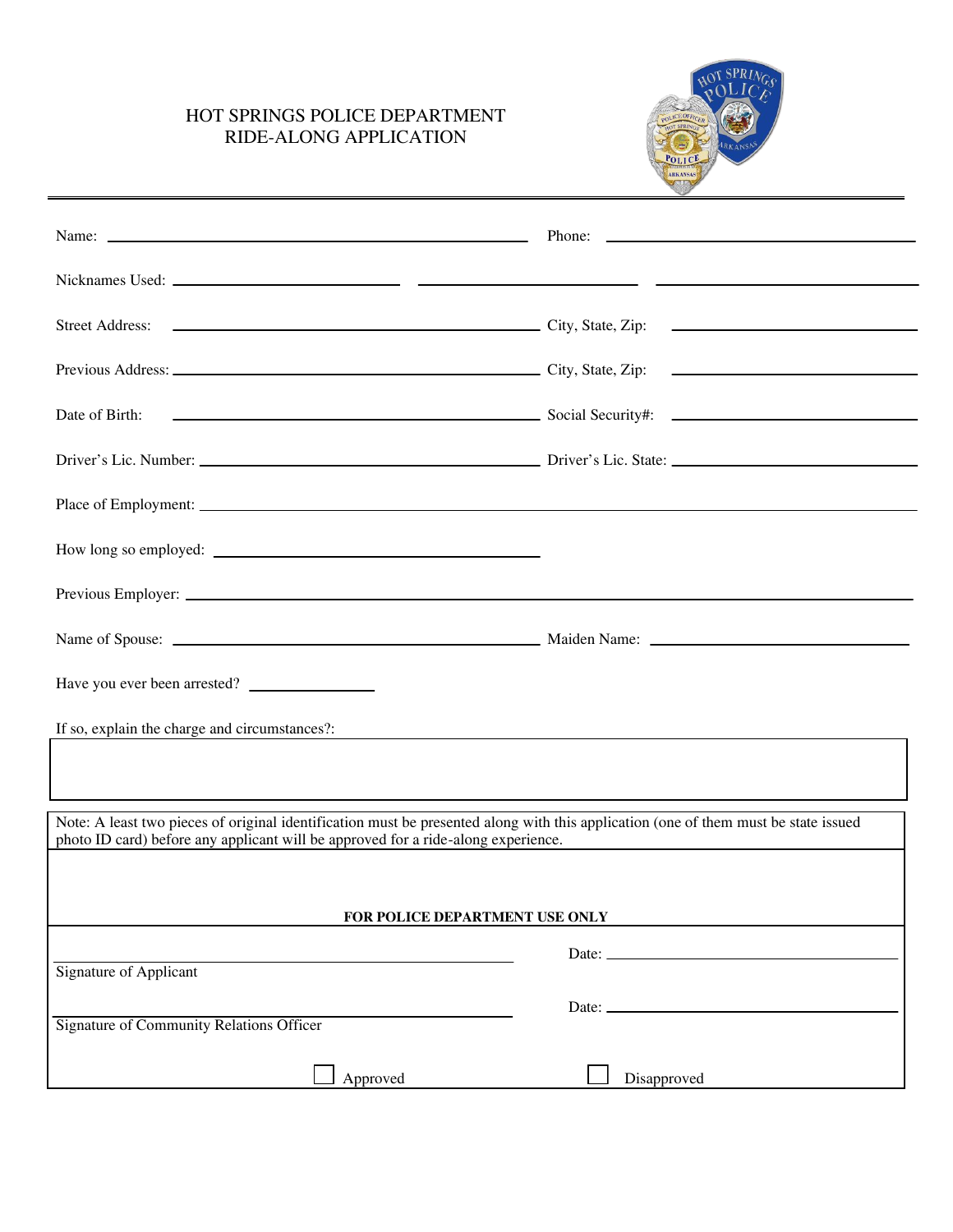## HOT SPRINGS POLICE DEPARTMENT RIDE-ALONG APPLICATION



| Name: Name: Name: Name: Name: Name: Name: Name: Name: Name: Name: Name: Name: Name: Name: Name: Name: Name: Name: Name: Name: Name: Name: Name: Name: Name: Name: Name: Name: Name: Name: Name: Name: Name: Name: Name: Name:                                                                                                                    |             |
|--------------------------------------------------------------------------------------------------------------------------------------------------------------------------------------------------------------------------------------------------------------------------------------------------------------------------------------------------|-------------|
|                                                                                                                                                                                                                                                                                                                                                  |             |
|                                                                                                                                                                                                                                                                                                                                                  |             |
|                                                                                                                                                                                                                                                                                                                                                  |             |
| Date of Birth:<br>$\overline{\phantom{a}}$ Social Security#: $\overline{\phantom{a}}$                                                                                                                                                                                                                                                            |             |
|                                                                                                                                                                                                                                                                                                                                                  |             |
|                                                                                                                                                                                                                                                                                                                                                  |             |
|                                                                                                                                                                                                                                                                                                                                                  |             |
|                                                                                                                                                                                                                                                                                                                                                  |             |
|                                                                                                                                                                                                                                                                                                                                                  |             |
| Have you ever been arrested?                                                                                                                                                                                                                                                                                                                     |             |
| If so, explain the charge and circumstances?:                                                                                                                                                                                                                                                                                                    |             |
|                                                                                                                                                                                                                                                                                                                                                  |             |
| Note: A least two pieces of original identification must be presented along with this application (one of them must be state issued<br>photo ID card) before any applicant will be approved for a ride-along experience.<br><u> 1989 - Jan James James James James James James James James James James James James James James James James J</u> |             |
|                                                                                                                                                                                                                                                                                                                                                  |             |
| FOR POLICE DEPARTMENT USE ONLY                                                                                                                                                                                                                                                                                                                   |             |
| <b>Signature of Applicant</b>                                                                                                                                                                                                                                                                                                                    | Date: _     |
| <b>Signature of Community Relations Officer</b>                                                                                                                                                                                                                                                                                                  | Date: $-$   |
| Approved                                                                                                                                                                                                                                                                                                                                         | Disapproved |